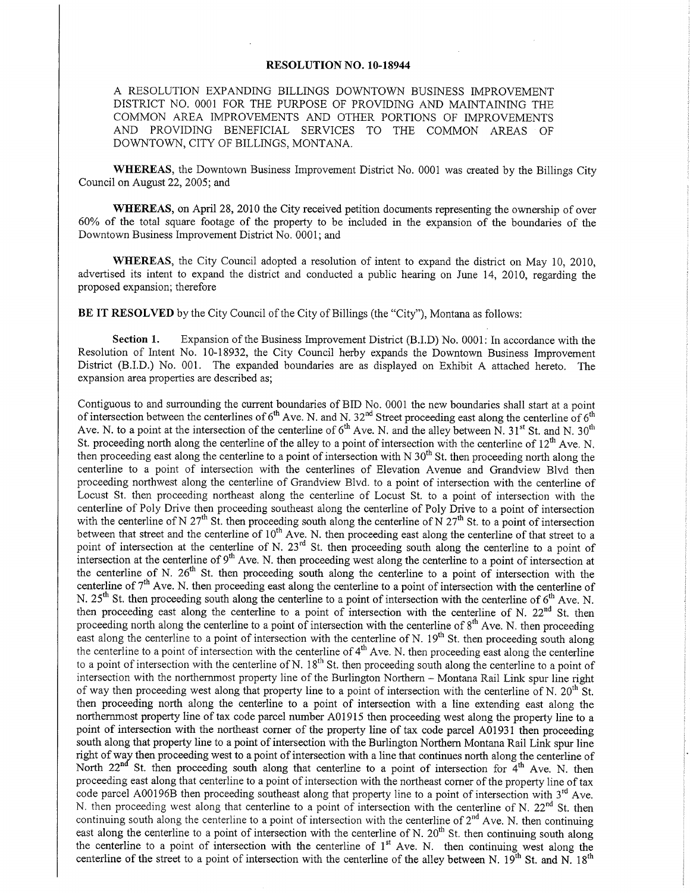## RESOLUTION NO. IO-I8944

A RESOLUTION EXPANDING BILLINGS DOWNTOWN BUSINESS IMPROVEMENT DISTRICT NO. OOO1 FOR THE PURPOSE OF PROVIDING AND MAINTAINING THE COMMON AREA IMPROVEMENTS AND OTHER PORTIONS OF IMPROVEMENTS AND PROVIDING BENEFICIAL SERVICES TO THE COMMON AREAS OF DOWNTOWN, CITY OF BILLINGS, MONTANA.

WHEREAS, the Downtown Business Improvement District No. 0001 was created by the Billings City Council on August 22, 2005; and

WHEREAS, on April 28, 2010 the City received petition documents representing the ownership of over 600/o of the total square footage of the property to be included in the expansion of the boundaries of the Downtown Business Improvement District No. 0001; and

WHEREAS, the City Council adopted a resolution of intent to expand the district on May 10, 2010, advertised its intent to expand the district and conducted a public hearing on June 14, 2010, regarding the proposed expansion; therefore

BE IT RESOLVED by the City Council of the City of Billings (the "City"), Montana as follows:

Section 1. Expansion of the Business Improvement District (B.I.D) No. 0001: In accordance with the Resolution of Intent No. 10-18932, the City Council herby expands the Downtown Business Improvement District (B.I.D.) No.00l. The expanded boundaries are as displayed on Exhibit A attached hereto. The expansion area properties are described as;

Contiguous to and surrounding the current boundaries of BID No. 0001 the new boundaries shall start at a point of intersection between the centerlines of  $6<sup>th</sup>$  Ave. N. and N. 32<sup>nd</sup> Street proceeding east along the centerline of  $6<sup>th</sup>$ Ave. N. to a point at the intersection of the centerline of  $6<sup>th</sup>$  Ave. N. and the alley between N. 31<sup>st</sup> St. and N. 30<sup>th</sup> St. proceeding north along the centerline of the alley to a point of intersection with the centerline of  $12<sup>th</sup>$  Ave. N. then proceeding east along the centerline to a point of intersection with N  $30<sup>th</sup>$  St. then proceeding north along the centerline to a point of intersection with the centerlines of Elevation Avenue and Grandview Blvd then proceeding northwest along the centerline of Grandview Blvd. to a point of intersection with the centerline of Locust St. then proceeding northeast along the centerline of Locust St. to a point of intersection with the centerline of Poly Drive then proceeding southeast along the centerline of Poly Drive to a point of intersection with the centerline of N  $27<sup>th</sup>$  St. then proceeding south along the centerline of N  $27<sup>th</sup>$  St. to a point of intersection between that street and the centerline of 10<sup>th</sup> Ave. N. then proceeding east along the centerline of that street to a point of intersection at the centerline of N. 23<sup>rd</sup> St. then proceeding south along the centerline to a point of intersection at the centerline of  $9<sup>th</sup>$  Ave. N. then proceeding west along the centerline to a point of intersection at the centerline of N.  $26<sup>th</sup>$  St. then proceeding south along the centerline to a point of intersection with the centerline of  $7<sup>th</sup>$  Ave. N. then proceeding east along the centerline to a point of intersection with the centerline of N.  $25<sup>th</sup>$  St. then proceeding south along the centerline to a point of intersection with the centerline of  $6<sup>th</sup>$  Ave. N. then proceeding east along the centerline to a point of intersection with the centerline of N.  $22<sup>nd</sup>$  St. then proceeding north along the centerline to a point of intersection with the centerline of  $8<sup>th</sup>$  Ave. N. then proceeding east along the centerline to a point of intersection with the centerline of N. 19<sup>th</sup> St. then proceeding south along the centerline to a point of intersection with the centerline of  $4<sup>th</sup>$  Ave. N. then proceeding east along the centerline to a point of intersection with the centerline of N.  $18<sup>th</sup>$  St. then proceeding south along the centerline to a point of intersection with the northernmost property line of the Burlington Northern - Montana Rail Link spur line right of way then proceeding west along that property line to a point of intersection with the centerline of N.  $20^{th}$  St. then proceeding north along the centerline to a point of intersection with a line extending east along the northernmost property line of tax code parcel number 401915 then proceeding west along the property line to <sup>a</sup> point of intersection with the northeast corner of the property line of tax code parcel A01931 then proceeding south along that property line to a point of intersection with the Burlington Northern Montana Rail Link spur line right of way then proceeding west to a point of intersection with a line that continues north along the centerline of North  $22^{nd}$  St. then proceeding south along that centerline to a point of intersection for  $4^{th}$  Ave. N. then proceeding east along that centerline to a point of intersection with the northeast comer of the property line of tax code parcel A00196B then proceeding southeast along that property line to a point of intersection with 3<sup>rd</sup> Ave. N. then proceeding west along that centerline to a point of intersection with the centerline of N.  $22^{nd}$  St. then continuing south along the centerline to a point of intersection with the centerline of  $2<sup>nd</sup>$  Ave. N. then continuing east along the centerline to a point of intersection with the centerline of N. 20<sup>th</sup> St. then continuing south along the centerline to a point of intersection with the centerline of 1<sup>st</sup> Ave. N. then continuing west along the centerline of the street to a point of intersection with the centerline of the alley between N. 19<sup>th</sup> St. and N. 18<sup>th</sup>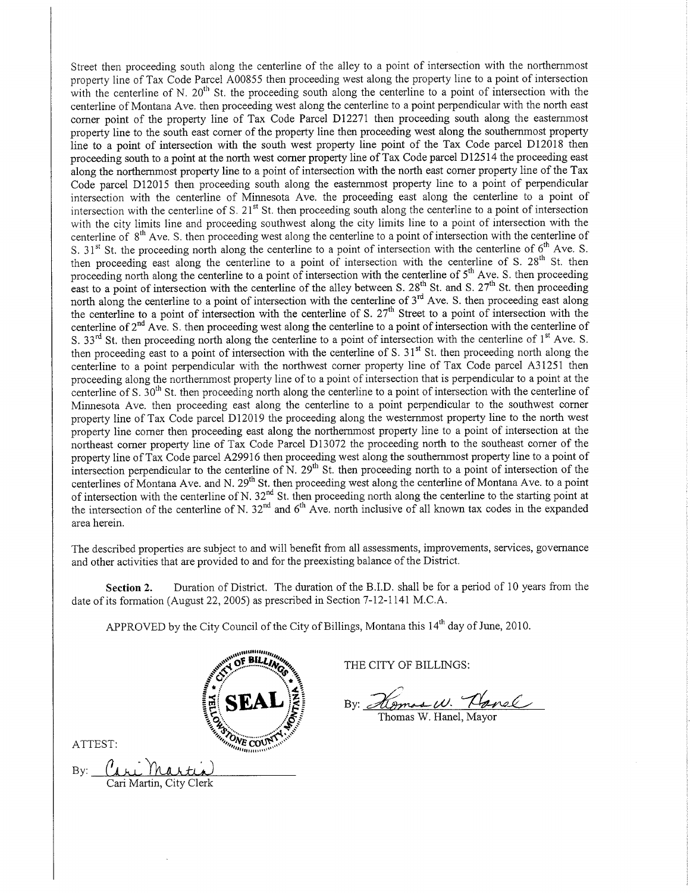Street then proceeding south along the centerline of the alley to a point of intersection with the northernmost property line of Tax Code Parcel 400855 then proceeding west along the property line to a point of intersection with the centerline of N.  $20^{th}$  St. the proceeding south along the centerline to a point of intersection with the centerline of Montana Ave. then proceeding west along the centerline to a point perpendicular with the north east corner point of the property iine of Tax Code Parcel D12271 then proceeding south along the eastemmost property line to the south east corner of the property line then proceeding west along the southemmost property line to a point of intersection with the south west property line point of the Tax Code parcel D12018 then proceeding south to a point at the north west corner property line of Tax Code parcel Dl25l4 the proceeding east along the northernmost property line to a point of intersection with the north east comer property line of the Tax Code parcel D12015 then proceeding south along the easternmost property line to a point of perpendicular intersection with the centerline of Minnesota Ave. the proceeding east along the centerline to a point of intersection with the centerline of S. 21<sup>st</sup> St. then proceeding south along the centerline to a point of intersection with the city limits line and proceeding southwest along the city limits line to a point of intersection with the centerline of 8<sup>th</sup> Ave. S. then proceeding west along the centerline to a point of intersection with the centerline of S.  $31<sup>st</sup>$  St. the proceeding north along the centerline to a point of intersection with the centerline of  $6<sup>th</sup>$  Ave. S. then proceeding east along the centerline to a point of intersection with the centerline of S. 28<sup>th</sup> St. then proceeding north along the centerline to a point of intersection with the centerline of  $5<sup>th</sup>$  Ave. S. then proceeding proceding from along the centerline to a point of intersection with the centerline of  $\sigma$ . Then BL then proceeding east to a point of intersection with the centerline of the alley between S. 28<sup>th</sup> St. and S. 27<sup>th</sup> St. t north along the centerline to a point of intersection with the centerline of  $3<sup>rd</sup>$  Ave. S. then proceeding east along the centerline to a point of intersection with the centerline of S. 27<sup>th</sup> Street to a point of intersection with the centerline of 2<sup>nd</sup> Ave. S. then proceeding west along the centerline to a point of intersection with the centerline of S. 33<sup>rd</sup> St. then proceeding north along the centerline to a point of intersection with the centerline of 1<sup>st</sup> Ave. S. then proceeding east to a point of intersection with the centerline of S. 31<sup>st</sup> St. then proceeding north along the centerline to a point perpendicular with the norfhwest corner property line of Tax Code parcel A3 1251 then proceeding along the northemmost property line of to a point of intersection that is perpendicular to a point at the centerline of S. 30<sup>th</sup> St. then proceeding north along the centerline to a point of intersection with the centerline of Minnesota Ave. then proceeding east along the centerline to a point perpendicular to the southwest corner property line of Tax Code parcel D120i9 the proceeding along the westemmost property line to the north west property line corner then proceeding east along the northernmost property line to a point of intersection at the northeast corner property line of Tax Code Parcel D13072 the proceeding north to the southeast corner of the property line of Tax Code parcel A29916 then proceeding west along the southernmost property line to a point of intersection perpendicular to the centerline of N.  $29<sup>th</sup>$  St. then proceeding north to a point of intersection of the centerlines of Montana Ave. and N. 29<sup>th</sup> St. then proceeding west along the centerline of Montana Ave. to a point of intersection with the centerline of N. 32<sup>nd</sup> St. then proceeding north along the centerline to the starting point at the intersection of the centerline of N. 32<sup>nd</sup> and 6<sup>th</sup> Ave. north inclusive of all known tax codes in the expanded area herein.

The described properties are subject to and will benefit from all assessments, improvements, services, govemance and other activities that are provided to and for the preexisting balance of the District.

Section 2. Duration of District. The duration of the B.I.D. shall be for a period of 10 years from the date of its formation (August 22, 2005) as prescribed in Section 7-12-1141 M.C.A.

APPROVED by the City Council of the City of Billings, Montana this 14'h day of June, 2010.



THE CITY OF BILLINGS:

tlamas W. Hanel By:

ATTEST:

(dri Martin By: Cari Martin. Citv Clerk